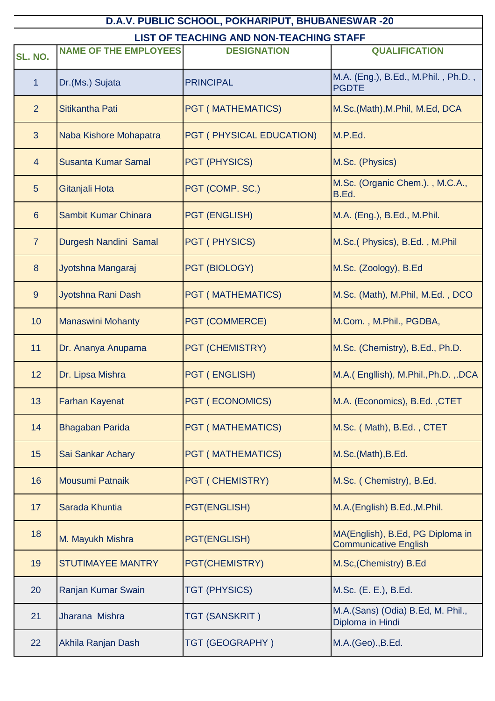| D.A.V. PUBLIC SCHOOL, POKHARIPUT, BHUBANESWAR -20 |                              |                          |                                                                  |
|---------------------------------------------------|------------------------------|--------------------------|------------------------------------------------------------------|
| <b>LIST OF TEACHING AND NON-TEACHING STAFF</b>    |                              |                          |                                                                  |
| <b>SL. NO.</b>                                    | <b>NAME OF THE EMPLOYEES</b> | <b>DESIGNATION</b>       | <b>QUALIFICATION</b>                                             |
| 1                                                 | Dr.(Ms.) Sujata              | <b>PRINCIPAL</b>         | M.A. (Eng.), B.Ed., M.Phil., Ph.D.,<br><b>PGDTE</b>              |
| $\overline{2}$                                    | Sitikantha Pati              | <b>PGT (MATHEMATICS)</b> | M.Sc.(Math), M.Phil, M.Ed, DCA                                   |
| 3 <sup>1</sup>                                    | Naba Kishore Mohapatra       | PGT (PHYSICAL EDUCATION) | M.P.Ed.                                                          |
| $\overline{4}$                                    | <b>Susanta Kumar Samal</b>   | <b>PGT (PHYSICS)</b>     | M.Sc. (Physics)                                                  |
| 5                                                 | Gitanjali Hota               | PGT (COMP. SC.)          | M.Sc. (Organic Chem.)., M.C.A.,<br>B.Ed.                         |
| $6\phantom{1}$                                    | Sambit Kumar Chinara         | <b>PGT (ENGLISH)</b>     | M.A. (Eng.), B.Ed., M.Phil.                                      |
| $\overline{7}$                                    | Durgesh Nandini Samal        | PGT (PHYSICS)            | M.Sc.(Physics), B.Ed., M.Phil                                    |
| 8                                                 | Jyotshna Mangaraj            | PGT (BIOLOGY)            | M.Sc. (Zoology), B.Ed                                            |
| 9                                                 | Jyotshna Rani Dash           | <b>PGT (MATHEMATICS)</b> | M.Sc. (Math), M.Phil, M.Ed., DCO                                 |
| 10                                                | <b>Manaswini Mohanty</b>     | <b>PGT (COMMERCE)</b>    | M.Com., M.Phil., PGDBA,                                          |
| 11                                                | Dr. Ananya Anupama           | <b>PGT (CHEMISTRY)</b>   | M.Sc. (Chemistry), B.Ed., Ph.D.                                  |
| 12                                                | Dr. Lipsa Mishra             | <b>PGT (ENGLISH)</b>     | M.A. (Engllish), M.Phil., Ph.D., .DCA                            |
| 13                                                | <b>Farhan Kayenat</b>        | <b>PGT (ECONOMICS)</b>   | M.A. (Economics), B.Ed., CTET                                    |
| 14                                                | <b>Bhagaban Parida</b>       | <b>PGT (MATHEMATICS)</b> | M.Sc. (Math), B.Ed., CTET                                        |
| 15                                                | Sai Sankar Achary            | <b>PGT (MATHEMATICS)</b> | M.Sc.(Math), B.Ed.                                               |
| 16                                                | Mousumi Patnaik              | <b>PGT (CHEMISTRY)</b>   | M.Sc. (Chemistry), B.Ed.                                         |
| 17                                                | Sarada Khuntia               | <b>PGT(ENGLISH)</b>      | M.A.(English) B.Ed., M.Phil.                                     |
| 18                                                | M. Mayukh Mishra             | <b>PGT(ENGLISH)</b>      | MA(English), B.Ed, PG Diploma in<br><b>Communicative English</b> |
| 19                                                | <b>STUTIMAYEE MANTRY</b>     | PGT(CHEMISTRY)           | M.Sc, (Chemistry) B.Ed                                           |
| 20                                                | Ranjan Kumar Swain           | TGT (PHYSICS)            | M.Sc. (E. E.), B.Ed.                                             |
| 21                                                | Jharana Mishra               | TGT (SANSKRIT)           | M.A.(Sans) (Odia) B.Ed, M. Phil.,<br>Diploma in Hindi            |
| 22                                                | Akhila Ranjan Dash           | TGT (GEOGRAPHY)          | M.A.(Geo)., B.Ed.                                                |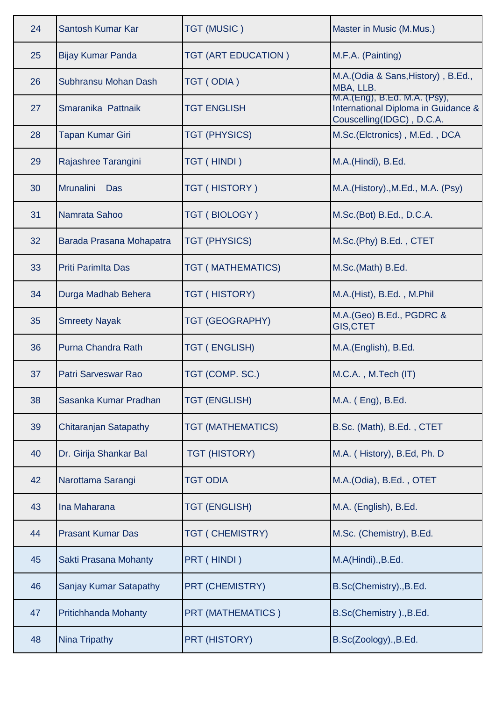| 24 | Santosh Kumar Kar            | <b>TGT (MUSIC)</b>       | Master in Music (M.Mus.)                                                                         |
|----|------------------------------|--------------------------|--------------------------------------------------------------------------------------------------|
| 25 | <b>Bijay Kumar Panda</b>     | TGT (ART EDUCATION)      | M.F.A. (Painting)                                                                                |
| 26 | Subhransu Mohan Dash         | TGT (ODIA)               | M.A. (Odia & Sans, History), B.Ed.,<br>MBA, LLB.                                                 |
| 27 | Smaranika Pattnaik           | <b>TGT ENGLISH</b>       | M.A.(Eng), B.Ed. M.A. (Psy),<br>International Diploma in Guidance &<br>Couscelling(IDGC), D.C.A. |
| 28 | <b>Tapan Kumar Giri</b>      | <b>TGT (PHYSICS)</b>     | M.Sc.(Elctronics), M.Ed., DCA                                                                    |
| 29 | Rajashree Tarangini          | TGT (HINDI)              | M.A.(Hindi), B.Ed.                                                                               |
| 30 | <b>Mrunalini</b><br>Das      | TGT (HISTORY)            | M.A.(History)., M.Ed., M.A. (Psy)                                                                |
| 31 | Namrata Sahoo                | TGT (BIOLOGY)            | M.Sc.(Bot) B.Ed., D.C.A.                                                                         |
| 32 | Barada Prasana Mohapatra     | <b>TGT (PHYSICS)</b>     | M.Sc.(Phy) B.Ed., CTET                                                                           |
| 33 | <b>Priti Parimita Das</b>    | <b>TGT (MATHEMATICS)</b> | M.Sc.(Math) B.Ed.                                                                                |
| 34 | Durga Madhab Behera          | TGT (HISTORY)            | M.A.(Hist), B.Ed., M.Phil                                                                        |
| 35 | <b>Smreety Nayak</b>         | TGT (GEOGRAPHY)          | M.A. (Geo) B.Ed., PGDRC &<br><b>GIS, CTET</b>                                                    |
| 36 | Purna Chandra Rath           | <b>TGT (ENGLISH)</b>     | M.A.(English), B.Ed.                                                                             |
| 37 | Patri Sarveswar Rao          | TGT (COMP. SC.)          | M.C.A., M.Tech (IT)                                                                              |
| 38 | Sasanka Kumar Pradhan        | <b>TGT (ENGLISH)</b>     | M.A. (Eng), B.Ed.                                                                                |
| 39 | <b>Chitaranjan Satapathy</b> | <b>TGT (MATHEMATICS)</b> | B.Sc. (Math), B.Ed., CTET                                                                        |
| 40 | Dr. Girija Shankar Bal       | <b>TGT (HISTORY)</b>     | M.A. (History), B.Ed, Ph. D                                                                      |
| 42 | Narottama Sarangi            | <b>TGT ODIA</b>          | M.A.(Odia), B.Ed., OTET                                                                          |
| 43 | Ina Maharana                 | <b>TGT (ENGLISH)</b>     | M.A. (English), B.Ed.                                                                            |
| 44 | <b>Prasant Kumar Das</b>     | TGT ( CHEMISTRY)         | M.Sc. (Chemistry), B.Ed.                                                                         |
| 45 | Sakti Prasana Mohanty        | PRT (HINDI)              | M.A(Hindi)., B.Ed.                                                                               |
| 46 | Sanjay Kumar Satapathy       | PRT (CHEMISTRY)          | B.Sc(Chemistry)., B.Ed.                                                                          |
| 47 | <b>Pritichhanda Mohanty</b>  | PRT (MATHEMATICS)        | B.Sc(Chemistry)., B.Ed.                                                                          |
| 48 | Nina Tripathy                | PRT (HISTORY)            | B.Sc(Zoology)., B.Ed.                                                                            |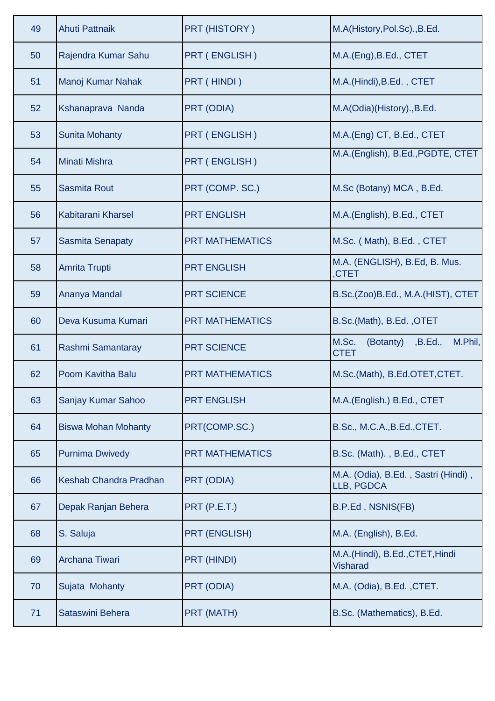| 49 | <b>Ahuti Pattnaik</b>      | <b>PRT (HISTORY)</b>   | M.A(History, Pol.Sc)., B.Ed.                            |
|----|----------------------------|------------------------|---------------------------------------------------------|
| 50 | Rajendra Kumar Sahu        | <b>PRT (ENGLISH)</b>   | M.A.(Eng), B.Ed., CTET                                  |
| 51 | Manoj Kumar Nahak          | PRT (HINDI)            | M.A.(Hindi), B.Ed., CTET                                |
| 52 | Kshanaprava Nanda          | PRT (ODIA)             | M.A(Odia)(History)., B.Ed.                              |
| 53 | <b>Sunita Mohanty</b>      | <b>PRT (ENGLISH)</b>   | M.A.(Eng) CT, B.Ed., CTET                               |
| 54 | <b>Minati Mishra</b>       | <b>PRT (ENGLISH)</b>   | M.A.(English), B.Ed., PGDTE, CTET                       |
| 55 | <b>Sasmita Rout</b>        | PRT (COMP. SC.)        | M.Sc (Botany) MCA, B.Ed.                                |
| 56 | Kabitarani Kharsel         | <b>PRT ENGLISH</b>     | M.A.(English), B.Ed., CTET                              |
| 57 | <b>Sasmita Senapaty</b>    | <b>PRT MATHEMATICS</b> | M.Sc. (Math), B.Ed., CTET                               |
| 58 | <b>Amrita Trupti</b>       | <b>PRT ENGLISH</b>     | M.A. (ENGLISH), B.Ed, B. Mus.<br>CTET <sub></sub>       |
| 59 | Ananya Mandal              | <b>PRT SCIENCE</b>     | B.Sc.(Zoo)B.Ed., M.A.(HIST), CTET                       |
| 60 | Deva Kusuma Kumari         | <b>PRT MATHEMATICS</b> | B.Sc.(Math), B.Ed., OTET                                |
| 61 | Rashmi Samantaray          | <b>PRT SCIENCE</b>     | M.Sc.<br>M.Phil,<br>(Botanty)<br>,B.Ed.,<br><b>CTET</b> |
| 62 | Poom Kavitha Balu          | <b>PRT MATHEMATICS</b> | M.Sc.(Math), B.Ed.OTET, CTET.                           |
| 63 | Sanjay Kumar Sahoo         | <b>PRT ENGLISH</b>     | M.A.(English.) B.Ed., CTET                              |
| 64 | <b>Biswa Mohan Mohanty</b> | PRT(COMP.SC.)          | B.Sc., M.C.A., B.Ed., CTET.                             |
| 65 | <b>Purnima Dwivedy</b>     | <b>PRT MATHEMATICS</b> | B.Sc. (Math)., B.Ed., CTET                              |
| 66 | Keshab Chandra Pradhan     | <b>PRT (ODIA)</b>      | M.A. (Odia), B.Ed., Sastri (Hindi),<br>LLB, PGDCA       |
| 67 | Depak Ranjan Behera        | PRT (P.E.T.)           | B.P.Ed, NSNIS(FB)                                       |
| 68 | S. Saluja                  | <b>PRT (ENGLISH)</b>   | M.A. (English), B.Ed.                                   |
| 69 | Archana Tiwari             | PRT (HINDI)            | M.A.(Hindi), B.Ed., CTET, Hindi<br>Visharad             |
| 70 | Sujata Mohanty             | <b>PRT (ODIA)</b>      | M.A. (Odia), B.Ed., CTET.                               |
| 71 | Sataswini Behera           | <b>PRT (MATH)</b>      | B.Sc. (Mathematics), B.Ed.                              |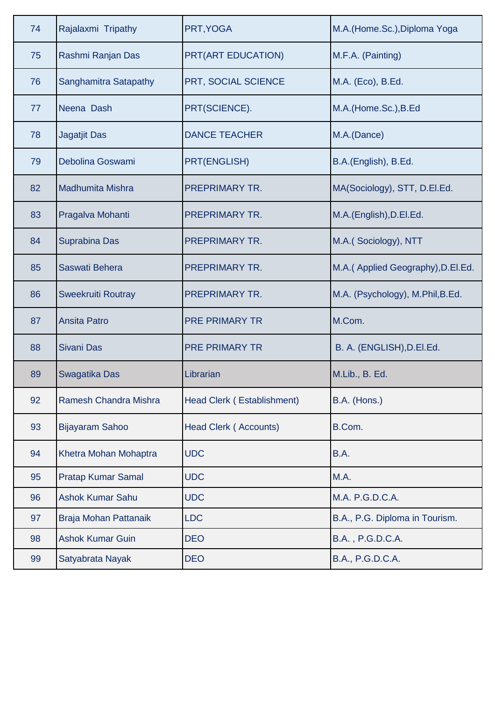| 74 | Rajalaxmi Tripathy        | PRT, YOGA                    | M.A. (Home.Sc.), Diploma Yoga      |
|----|---------------------------|------------------------------|------------------------------------|
| 75 | Rashmi Ranjan Das         | PRT(ART EDUCATION)           | M.F.A. (Painting)                  |
| 76 | Sanghamitra Satapathy     | PRT, SOCIAL SCIENCE          | M.A. (Eco), B.Ed.                  |
| 77 | Neena Dash                | PRT(SCIENCE).                | M.A.(Home.Sc.), B.Ed               |
| 78 | <b>Jagatjit Das</b>       | <b>DANCE TEACHER</b>         | M.A.(Dance)                        |
| 79 | Debolina Goswami          | PRT(ENGLISH)                 | B.A.(English), B.Ed.               |
| 82 | <b>Madhumita Mishra</b>   | <b>PREPRIMARY TR.</b>        | MA(Sociology), STT, D.El.Ed.       |
| 83 | Pragalva Mohanti          | <b>PREPRIMARY TR.</b>        | M.A.(English), D.El.Ed.            |
| 84 | <b>Suprabina Das</b>      | PREPRIMARY TR.               | M.A.(Sociology), NTT               |
| 85 | Saswati Behera            | <b>PREPRIMARY TR.</b>        | M.A. (Applied Geography), D.El.Ed. |
| 86 | Sweekruiti Routray        | <b>PREPRIMARY TR.</b>        | M.A. (Psychology), M.Phil, B.Ed.   |
| 87 | <b>Ansita Patro</b>       | <b>PRE PRIMARY TR</b>        | M.Com.                             |
| 88 | <b>Sivani Das</b>         | <b>PRE PRIMARY TR</b>        | B. A. (ENGLISH), D.EI.Ed.          |
| 89 | Swagatika Das             | Librarian                    | M.Lib., B. Ed.                     |
| 92 | Ramesh Chandra Mishra     | Head Clerk (Establishment)   | B.A. (Hons.)                       |
| 93 | <b>Bijayaram Sahoo</b>    | <b>Head Clerk (Accounts)</b> | B.Com.                             |
| 94 | Khetra Mohan Mohaptra     | <b>UDC</b>                   | B.A.                               |
| 95 | <b>Pratap Kumar Samal</b> | <b>UDC</b>                   | M.A.                               |
| 96 | <b>Ashok Kumar Sahu</b>   | <b>UDC</b>                   | M.A. P.G.D.C.A.                    |
| 97 | Braja Mohan Pattanaik     | <b>LDC</b>                   | B.A., P.G. Diploma in Tourism.     |
| 98 | <b>Ashok Kumar Guin</b>   | <b>DEO</b>                   | B.A., P.G.D.C.A.                   |
| 99 | Satyabrata Nayak          | <b>DEO</b>                   | B.A., P.G.D.C.A.                   |